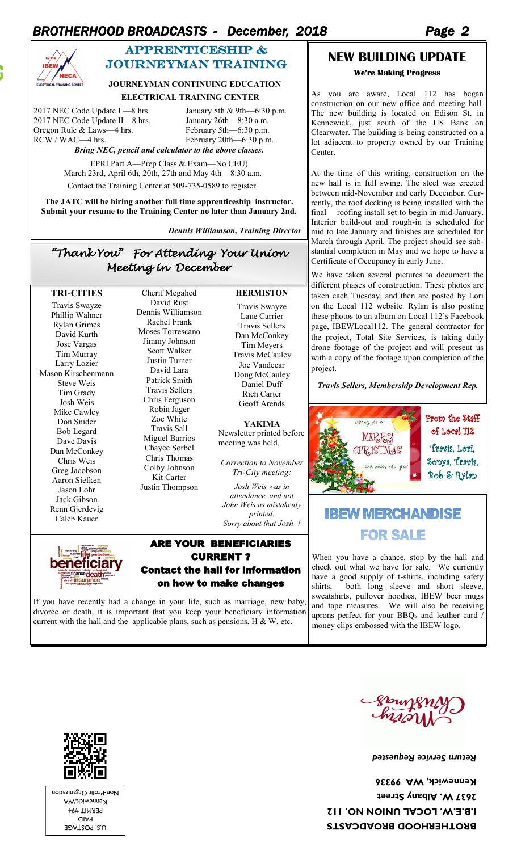# *BROTHERHOOD BROADCASTS - December, 2018 Page 2*



# APPRENTICESHIP & journeyman training

#### **JOURNEYMAN CONTINUING EDUCATION**

#### **ELECTRICAL TRAINING CENTER**

2017 NEC Code Update I —8 hrs. January 8th & 9th—6:30 p.m.<br>
2017 NEC Code Update II—8 hrs. January 26th—8:30 a.m.<br>
Oregon Rule & Laws—4 hrs. February 5th—6:30 p.m. 2017 NEC Code Update II-8 hrs. Oregon Rule  $&$  Laws—4 hrs. RCW / WAC—4 hrs. February 20th—6:30 p.m.

*Bring NEC, pencil and calculator to the above classes.*

EPRI Part A—Prep Class & Exam—No CEU) March 23rd, April 6th, 20th, 27th and May 4th—8:30 a.m. Contact the Training Center at 509-735-0589 to register.

**The JATC will be hiring another full time apprenticeship instructor. Submit your resume to the Training Center no later than January 2nd.** 

 *Dennis Williamson, Training Director*

*"Thank You" For Attending Your Union Meeting in December* 

Cherif Megahed

#### **TRI-CITIES**

Travis Swayze Phillip Wahner Rylan Grimes David Kurth Jose Vargas Tim Murray Larry Lozier Mason Kirschenmann Steve Weis Tim Grady Josh Weis Mike Cawley Don Snider Bob Legard Dave Davis Dan McConkey Chris Weis Greg Jacobson Aaron Siefken Jason Lohr Jack Gibson Renn Gjerdevig Caleb Kauer

David Rust Dennis Williamson Rachel Frank Moses Torrescano Jimmy Johnson Scott Walker Justin Turner David Lara Patrick Smith Travis Sellers Chris Ferguson Robin Jager Zoe White Travis Sall Miguel Barrios Chayce Sorbel Chris Thomas Colby Johnson Kit Carter Justin Thompson

## **HERMISTON**

Travis Swayze Lane Carrier Travis Sellers Dan McConkey Tim Meyers Travis McCauley Joe Vandecar Doug McCauley Daniel Duff Rich Carter Geoff Arends

#### **YAKIMA**

Newsletter printed before meeting was held.

*Correction to November Tri-City meeting:* 

*Josh Weis was in attendance, and not John Weis as mistakenly printed. Sorry about that Josh !*



### ARE YOUR BENEFICIARIES CURRENT ? Contact the hall for information on how to make changes

If you have recently had a change in your life, such as marriage, new baby, divorce or death, it is important that you keep your beneficiary information current with the hall and the applicable plans, such as pensions,  $H \& W$ , etc.

# **NEW BUILDING UPDATE We're Making Progress**

As you are aware, Local 112 has began construction on our new office and meeting hall. The new building is located on Edison St. in Kennewick, just south of the US Bank on Clearwater. The building is being constructed on a lot adjacent to property owned by our Training Center.

At the time of this writing, construction on the new hall is in full swing. The steel was erected between mid-November and early December. Currently, the roof decking is being installed with the final roofing install set to begin in mid-January. Interior build-out and rough-in is scheduled for mid to late January and finishes are scheduled for March through April. The project should see substantial completion in May and we hope to have a Certificate of Occupancy in early June.

We have taken several pictures to document the different phases of construction. These photos are taken each Tuesday, and then are posted by Lori on the Local 112 website. Rylan is also posting these photos to an album on Local 112's Facebook page, IBEWLocal112. The general contractor for the project, Total Site Services, is taking daily drone footage of the project and will present us with a copy of the footage upon completion of the project.

#### *Travis Sellers, Membership Development Rep.*



# **IBEW MERCHANDISE FOR SALE**

When you have a chance, stop by the hall and check out what we have for sale. We currently have a good supply of t-shirts, including safety shirts, both long sleeve and short sleeve, sweatshirts, pullover hoodies, IBEW beer mugs and tape measures. We will also be receiving aprons perfect for your BBQs and leather card / money clips embossed with the IBEW logo.

Spring

*Return Service Requested* 

**BROTHERHOOD BROADCASTS I.B.E.W. LOCAL UNION NO. 112 2637 W. Albany Street Kennewick, WA 99336** 



U.S. POSTAGE PAID PERMIT #94 Kennewick,WA Non-Profit Organization